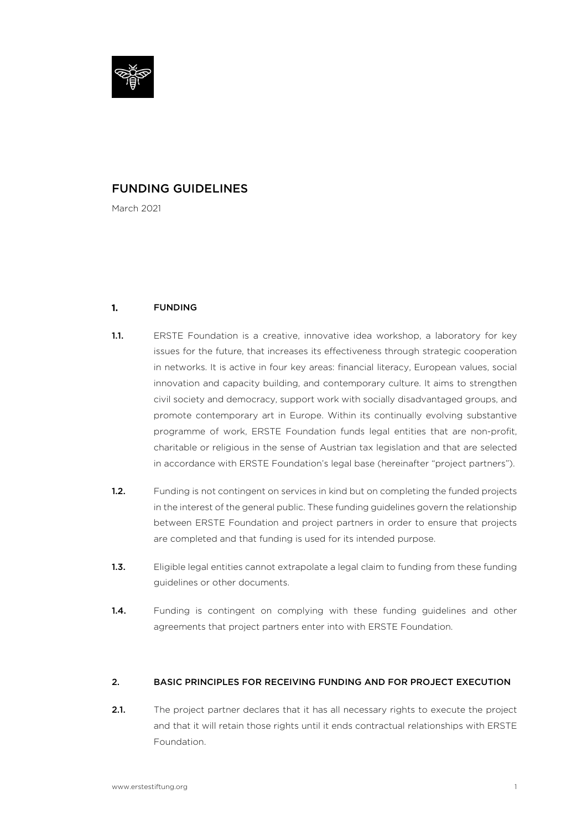

# FUNDING GUIDELINES

March 2021

# 1. FUNDING

- 1.1. ERSTE Foundation is a creative, innovative idea workshop, a laboratory for key issues for the future, that increases its effectiveness through strategic cooperation in networks. It is active in four key areas: financial literacy, European values, social innovation and capacity building, and contemporary culture. It aims to strengthen civil society and democracy, support work with socially disadvantaged groups, and promote contemporary art in Europe. Within its continually evolving substantive programme of work, ERSTE Foundation funds legal entities that are non-profit, charitable or religious in the sense of Austrian tax legislation and that are selected in accordance with ERSTE Foundation's legal base (hereinafter "project partners").
- 1.2. Funding is not contingent on services in kind but on completing the funded projects in the interest of the general public. These funding guidelines govern the relationship between ERSTE Foundation and project partners in order to ensure that projects are completed and that funding is used for its intended purpose.
- 1.3. Eligible legal entities cannot extrapolate a legal claim to funding from these funding guidelines or other documents.
- 1.4. Funding is contingent on complying with these funding guidelines and other agreements that project partners enter into with ERSTE Foundation.

# 2. BASIC PRINCIPLES FOR RECEIVING FUNDING AND FOR PROJECT EXECUTION

2.1. The project partner declares that it has all necessary rights to execute the project and that it will retain those rights until it ends contractual relationships with ERSTE Foundation.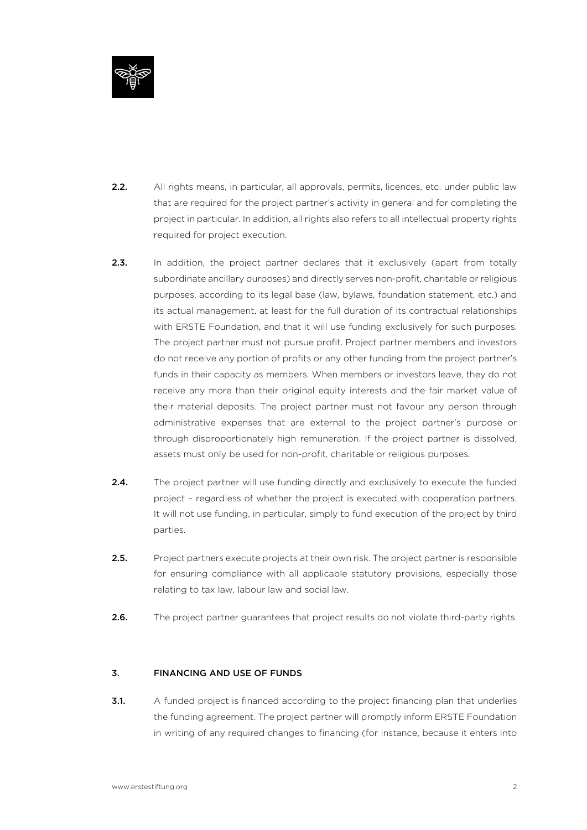

- 2.2. All rights means, in particular, all approvals, permits, licences, etc. under public law that are required for the project partner's activity in general and for completing the project in particular. In addition, all rights also refers to all intellectual property rights required for project execution.
- **2.3.** In addition, the project partner declares that it exclusively (apart from totally subordinate ancillary purposes) and directly serves non-profit, charitable or religious purposes, according to its legal base (law, bylaws, foundation statement, etc.) and its actual management, at least for the full duration of its contractual relationships with ERSTE Foundation, and that it will use funding exclusively for such purposes. The project partner must not pursue profit. Project partner members and investors do not receive any portion of profits or any other funding from the project partner's funds in their capacity as members. When members or investors leave, they do not receive any more than their original equity interests and the fair market value of their material deposits. The project partner must not favour any person through administrative expenses that are external to the project partner's purpose or through disproportionately high remuneration. If the project partner is dissolved, assets must only be used for non-profit, charitable or religious purposes.
- **2.4.** The project partner will use funding directly and exclusively to execute the funded project – regardless of whether the project is executed with cooperation partners. It will not use funding, in particular, simply to fund execution of the project by third parties.
- 2.5. Project partners execute projects at their own risk. The project partner is responsible for ensuring compliance with all applicable statutory provisions, especially those relating to tax law, labour law and social law.
- 2.6. The project partner guarantees that project results do not violate third-party rights.

# 3. FINANCING AND USE OF FUNDS

**3.1.** A funded project is financed according to the project financing plan that underlies the funding agreement. The project partner will promptly inform ERSTE Foundation in writing of any required changes to financing (for instance, because it enters into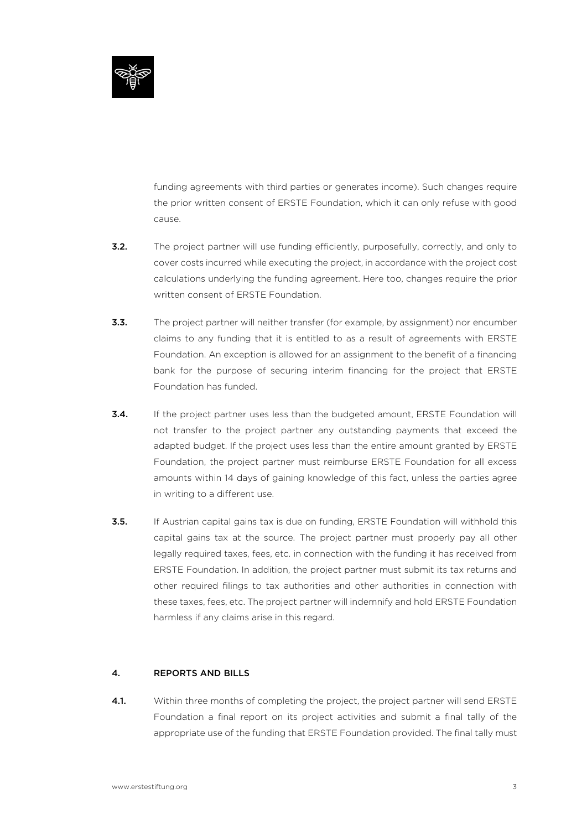

funding agreements with third parties or generates income). Such changes require the prior written consent of ERSTE Foundation, which it can only refuse with good cause.

- **3.2.** The project partner will use funding efficiently, purposefully, correctly, and only to cover costs incurred while executing the project, in accordance with the project cost calculations underlying the funding agreement. Here too, changes require the prior written consent of ERSTE Foundation.
- **3.3.** The project partner will neither transfer (for example, by assignment) nor encumber claims to any funding that it is entitled to as a result of agreements with ERSTE Foundation. An exception is allowed for an assignment to the benefit of a financing bank for the purpose of securing interim financing for the project that ERSTE Foundation has funded.
- **3.4.** If the project partner uses less than the budgeted amount, ERSTE Foundation will not transfer to the project partner any outstanding payments that exceed the adapted budget. If the project uses less than the entire amount granted by ERSTE Foundation, the project partner must reimburse ERSTE Foundation for all excess amounts within 14 days of gaining knowledge of this fact, unless the parties agree in writing to a different use.
- **3.5.** If Austrian capital gains tax is due on funding, ERSTE Foundation will withhold this capital gains tax at the source. The project partner must properly pay all other legally required taxes, fees, etc. in connection with the funding it has received from ERSTE Foundation. In addition, the project partner must submit its tax returns and other required filings to tax authorities and other authorities in connection with these taxes, fees, etc. The project partner will indemnify and hold ERSTE Foundation harmless if any claims arise in this regard.

# 4. REPORTS AND BILLS

4.1. Within three months of completing the project, the project partner will send ERSTE Foundation a final report on its project activities and submit a final tally of the appropriate use of the funding that ERSTE Foundation provided. The final tally must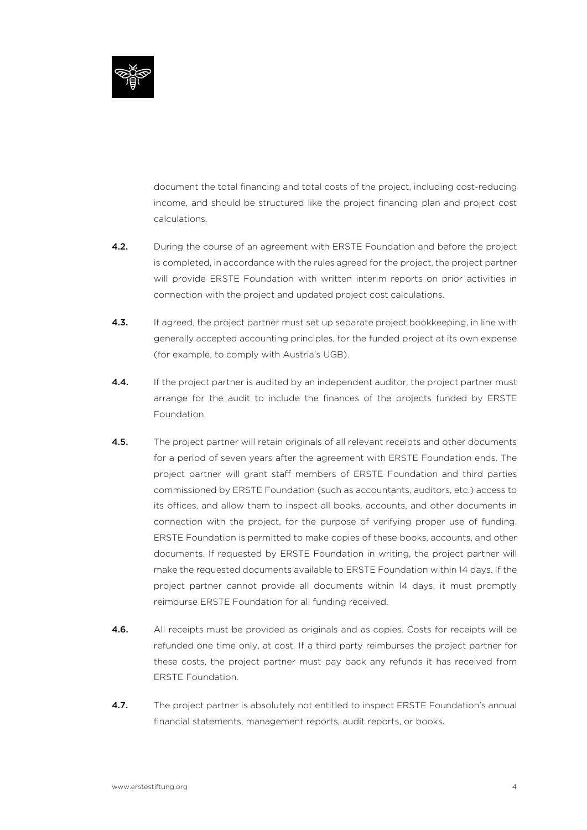

document the total financing and total costs of the project, including cost-reducing income, and should be structured like the project financing plan and project cost calculations.

- **4.2.** During the course of an agreement with ERSTE Foundation and before the project is completed, in accordance with the rules agreed for the project, the project partner will provide ERSTE Foundation with written interim reports on prior activities in connection with the project and updated project cost calculations.
- 4.3. If agreed, the project partner must set up separate project bookkeeping, in line with generally accepted accounting principles, for the funded project at its own expense (for example, to comply with Austria's UGB).
- 4.4. If the project partner is audited by an independent auditor, the project partner must arrange for the audit to include the finances of the projects funded by ERSTE Foundation.
- 4.5. The project partner will retain originals of all relevant receipts and other documents for a period of seven years after the agreement with ERSTE Foundation ends. The project partner will grant staff members of ERSTE Foundation and third parties commissioned by ERSTE Foundation (such as accountants, auditors, etc.) access to its offices, and allow them to inspect all books, accounts, and other documents in connection with the project, for the purpose of verifying proper use of funding. ERSTE Foundation is permitted to make copies of these books, accounts, and other documents. If requested by ERSTE Foundation in writing, the project partner will make the requested documents available to ERSTE Foundation within 14 days. If the project partner cannot provide all documents within 14 days, it must promptly reimburse ERSTE Foundation for all funding received.
- 4.6. All receipts must be provided as originals and as copies. Costs for receipts will be refunded one time only, at cost. If a third party reimburses the project partner for these costs, the project partner must pay back any refunds it has received from ERSTE Foundation.
- 4.7. The project partner is absolutely not entitled to inspect ERSTE Foundation's annual financial statements, management reports, audit reports, or books.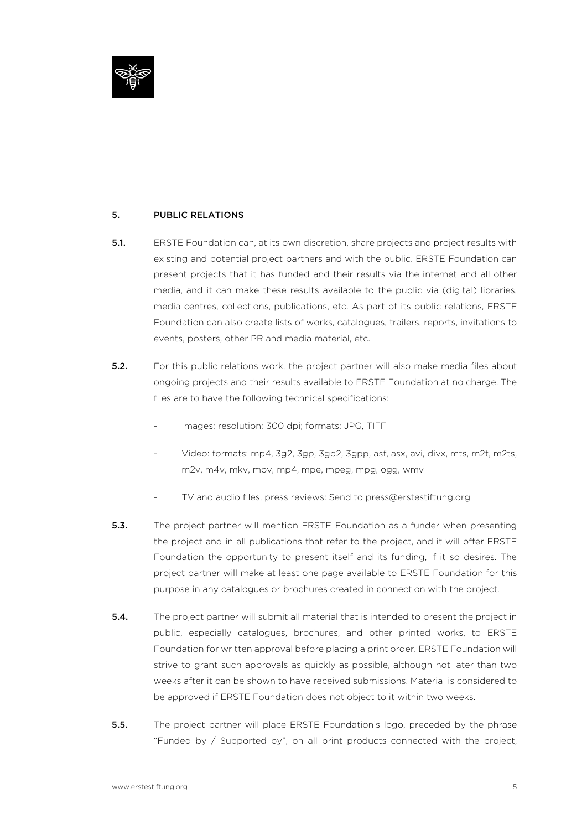

# 5. PUBLIC RELATIONS

- 5.1. ERSTE Foundation can, at its own discretion, share projects and project results with existing and potential project partners and with the public. ERSTE Foundation can present projects that it has funded and their results via the internet and all other media, and it can make these results available to the public via (digital) libraries, media centres, collections, publications, etc. As part of its public relations, ERSTE Foundation can also create lists of works, catalogues, trailers, reports, invitations to events, posters, other PR and media material, etc.
- **5.2.** For this public relations work, the project partner will also make media files about ongoing projects and their results available to ERSTE Foundation at no charge. The files are to have the following technical specifications:
	- Images: resolution: 300 dpi; formats: JPG, TIFF
	- Video: formats: mp4, 3g2, 3gp, 3gp2, 3gpp, asf, asx, avi, divx, mts, m2t, m2ts, m2v, m4v, mkv, mov, mp4, mpe, mpeg, mpg, ogg, wmv
	- TV and audio files, press reviews: Send to press@erstestiftung.org
- **5.3.** The project partner will mention ERSTE Foundation as a funder when presenting the project and in all publications that refer to the project, and it will offer ERSTE Foundation the opportunity to present itself and its funding, if it so desires. The project partner will make at least one page available to ERSTE Foundation for this purpose in any catalogues or brochures created in connection with the project.
- **5.4.** The project partner will submit all material that is intended to present the project in public, especially catalogues, brochures, and other printed works, to ERSTE Foundation for written approval before placing a print order. ERSTE Foundation will strive to grant such approvals as quickly as possible, although not later than two weeks after it can be shown to have received submissions. Material is considered to be approved if ERSTE Foundation does not object to it within two weeks.
- **5.5.** The project partner will place ERSTE Foundation's logo, preceded by the phrase "Funded by / Supported by", on all print products connected with the project,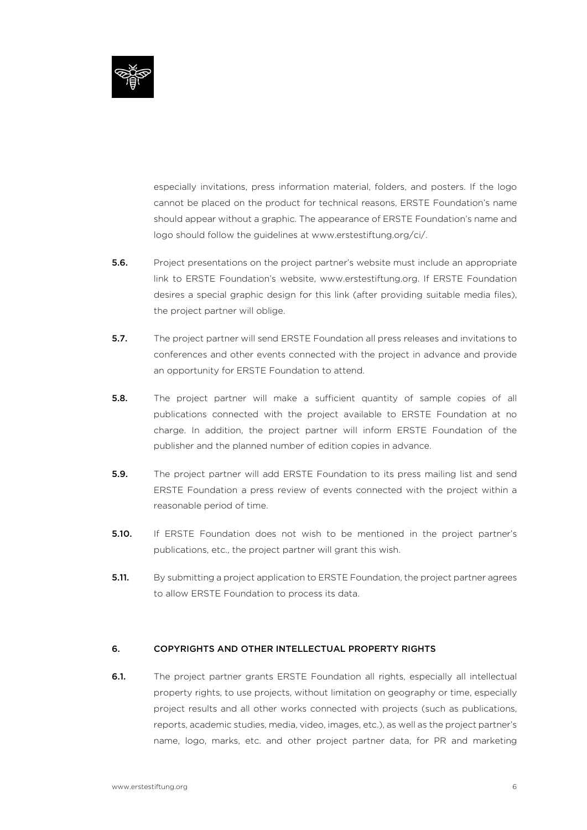

especially invitations, press information material, folders, and posters. If the logo cannot be placed on the product for technical reasons, ERSTE Foundation's name should appear without a graphic. The appearance of ERSTE Foundation's name and logo should follow the guidelines at www.erstestiftung.org/ci/.

- **5.6.** Project presentations on the project partner's website must include an appropriate link to ERSTE Foundation's website, www.erstestiftung.org. If ERSTE Foundation desires a special graphic design for this link (after providing suitable media files), the project partner will oblige.
- **5.7.** The project partner will send ERSTE Foundation all press releases and invitations to conferences and other events connected with the project in advance and provide an opportunity for ERSTE Foundation to attend.
- **5.8.** The project partner will make a sufficient quantity of sample copies of all publications connected with the project available to ERSTE Foundation at no charge. In addition, the project partner will inform ERSTE Foundation of the publisher and the planned number of edition copies in advance.
- **5.9.** The project partner will add ERSTE Foundation to its press mailing list and send ERSTE Foundation a press review of events connected with the project within a reasonable period of time.
- **5.10.** If ERSTE Foundation does not wish to be mentioned in the project partner's publications, etc., the project partner will grant this wish.
- **5.11.** By submitting a project application to ERSTE Foundation, the project partner agrees to allow ERSTE Foundation to process its data.

#### 6. COPYRIGHTS AND OTHER INTELLECTUAL PROPERTY RIGHTS

6.1. The project partner grants ERSTE Foundation all rights, especially all intellectual property rights, to use projects, without limitation on geography or time, especially project results and all other works connected with projects (such as publications, reports, academic studies, media, video, images, etc.), as well as the project partner's name, logo, marks, etc. and other project partner data, for PR and marketing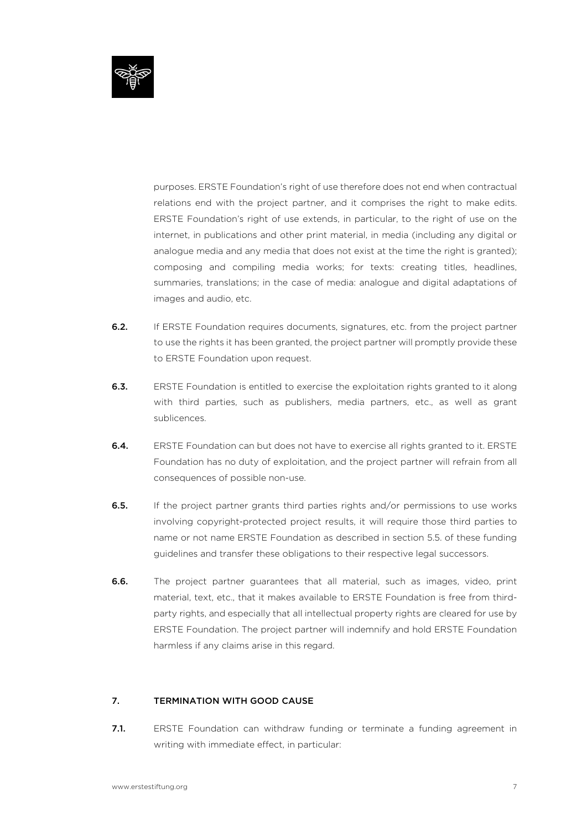

purposes. ERSTE Foundation's right of use therefore does not end when contractual relations end with the project partner, and it comprises the right to make edits. ERSTE Foundation's right of use extends, in particular, to the right of use on the internet, in publications and other print material, in media (including any digital or analogue media and any media that does not exist at the time the right is granted); composing and compiling media works; for texts: creating titles, headlines, summaries, translations; in the case of media: analogue and digital adaptations of images and audio, etc.

- 6.2. If ERSTE Foundation requires documents, signatures, etc. from the project partner to use the rights it has been granted, the project partner will promptly provide these to ERSTE Foundation upon request.
- 6.3. ERSTE Foundation is entitled to exercise the exploitation rights granted to it along with third parties, such as publishers, media partners, etc., as well as grant sublicences.
- 6.4. ERSTE Foundation can but does not have to exercise all rights granted to it. ERSTE Foundation has no duty of exploitation, and the project partner will refrain from all consequences of possible non-use.
- **6.5.** If the project partner grants third parties rights and/or permissions to use works involving copyright-protected project results, it will require those third parties to name or not name ERSTE Foundation as described in section 5.5. of these funding guidelines and transfer these obligations to their respective legal successors.
- 6.6. The project partner guarantees that all material, such as images, video, print material, text, etc., that it makes available to ERSTE Foundation is free from thirdparty rights, and especially that all intellectual property rights are cleared for use by ERSTE Foundation. The project partner will indemnify and hold ERSTE Foundation harmless if any claims arise in this regard.

# 7. TERMINATION WITH GOOD CAUSE

7.1. ERSTE Foundation can withdraw funding or terminate a funding agreement in writing with immediate effect, in particular: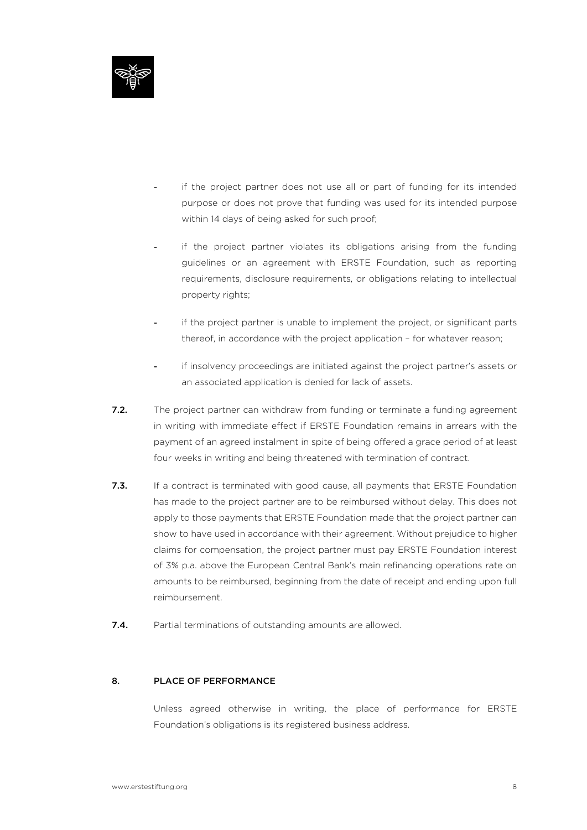

- if the project partner does not use all or part of funding for its intended purpose or does not prove that funding was used for its intended purpose within 14 days of being asked for such proof;
- if the project partner violates its obligations arising from the funding guidelines or an agreement with ERSTE Foundation, such as reporting requirements, disclosure requirements, or obligations relating to intellectual property rights;
- if the project partner is unable to implement the project, or significant parts thereof, in accordance with the project application – for whatever reason;
- if insolvency proceedings are initiated against the project partner's assets or an associated application is denied for lack of assets.
- 7.2. The project partner can withdraw from funding or terminate a funding agreement in writing with immediate effect if ERSTE Foundation remains in arrears with the payment of an agreed instalment in spite of being offered a grace period of at least four weeks in writing and being threatened with termination of contract.
- 7.3. If a contract is terminated with good cause, all payments that ERSTE Foundation has made to the project partner are to be reimbursed without delay. This does not apply to those payments that ERSTE Foundation made that the project partner can show to have used in accordance with their agreement. Without prejudice to higher claims for compensation, the project partner must pay ERSTE Foundation interest of 3% p.a. above the European Central Bank's main refinancing operations rate on amounts to be reimbursed, beginning from the date of receipt and ending upon full reimbursement.
- 7.4. Partial terminations of outstanding amounts are allowed.

#### 8. PLACE OF PERFORMANCE

Unless agreed otherwise in writing, the place of performance for ERSTE Foundation's obligations is its registered business address.